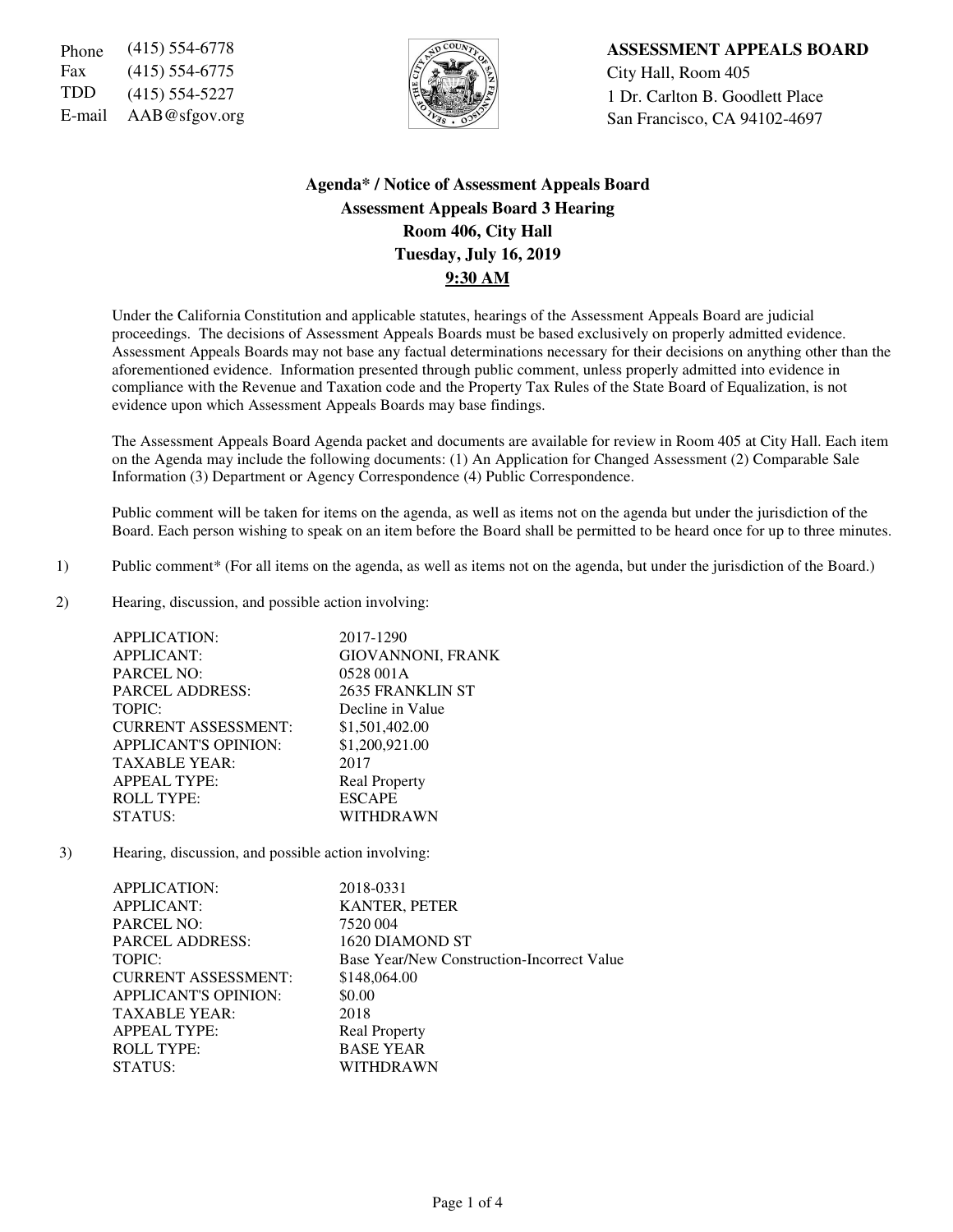Fax (415) 554-6775  $\left|\frac{1}{2}\right| \left|\frac{1}{2}\right| \left|\frac{1}{2}\right|$  City Hall, Room 405



Phone (415) 554-6778 **ASSESSMENT APPEALS BOARD** TDD  $(415)$  554-5227  $\left|\frac{1}{2}\right|$  1 Dr. Carlton B. Goodlett Place E-mail AAB@sfgov.org San Francisco, CA 94102-4697

# **Agenda\* / Notice of Assessment Appeals Board Assessment Appeals Board 3 Hearing Room 406, City Hall Tuesday, July 16, 2019 9:30 AM**

Under the California Constitution and applicable statutes, hearings of the Assessment Appeals Board are judicial proceedings. The decisions of Assessment Appeals Boards must be based exclusively on properly admitted evidence. Assessment Appeals Boards may not base any factual determinations necessary for their decisions on anything other than the aforementioned evidence. Information presented through public comment, unless properly admitted into evidence in compliance with the Revenue and Taxation code and the Property Tax Rules of the State Board of Equalization, is not evidence upon which Assessment Appeals Boards may base findings.

The Assessment Appeals Board Agenda packet and documents are available for review in Room 405 at City Hall. Each item on the Agenda may include the following documents: (1) An Application for Changed Assessment (2) Comparable Sale Information (3) Department or Agency Correspondence (4) Public Correspondence.

Public comment will be taken for items on the agenda, as well as items not on the agenda but under the jurisdiction of the Board. Each person wishing to speak on an item before the Board shall be permitted to be heard once for up to three minutes.

- 1) Public comment\* (For all items on the agenda, as well as items not on the agenda, but under the jurisdiction of the Board.)
- 2) Hearing, discussion, and possible action involving:

| APPLICATION:                | 2017-1290                |
|-----------------------------|--------------------------|
| <b>APPLICANT:</b>           | <b>GIOVANNONI, FRANK</b> |
| <b>PARCEL NO:</b>           | 0528 001A                |
| <b>PARCEL ADDRESS:</b>      | 2635 FRANKLIN ST         |
| TOPIC:                      | Decline in Value         |
| <b>CURRENT ASSESSMENT:</b>  | \$1,501,402.00           |
| <b>APPLICANT'S OPINION:</b> | \$1,200,921.00           |
| <b>TAXABLE YEAR:</b>        | 2017                     |
| <b>APPEAL TYPE:</b>         | <b>Real Property</b>     |
| <b>ROLL TYPE:</b>           | <b>ESCAPE</b>            |
| STATUS:                     | WITHDRAWN                |

3) Hearing, discussion, and possible action involving:

| APPLICATION:                | 2018-0331                                  |
|-----------------------------|--------------------------------------------|
| <b>APPLICANT:</b>           | KANTER, PETER                              |
| PARCEL NO:                  | 7520 004                                   |
| <b>PARCEL ADDRESS:</b>      | 1620 DIAMOND ST                            |
| TOPIC:                      | Base Year/New Construction-Incorrect Value |
| <b>CURRENT ASSESSMENT:</b>  | \$148,064.00                               |
| <b>APPLICANT'S OPINION:</b> | \$0.00                                     |
| <b>TAXABLE YEAR:</b>        | 2018                                       |
| <b>APPEAL TYPE:</b>         | <b>Real Property</b>                       |
| <b>ROLL TYPE:</b>           | <b>BASE YEAR</b>                           |
| STATUS:                     | WITHDRAWN                                  |
|                             |                                            |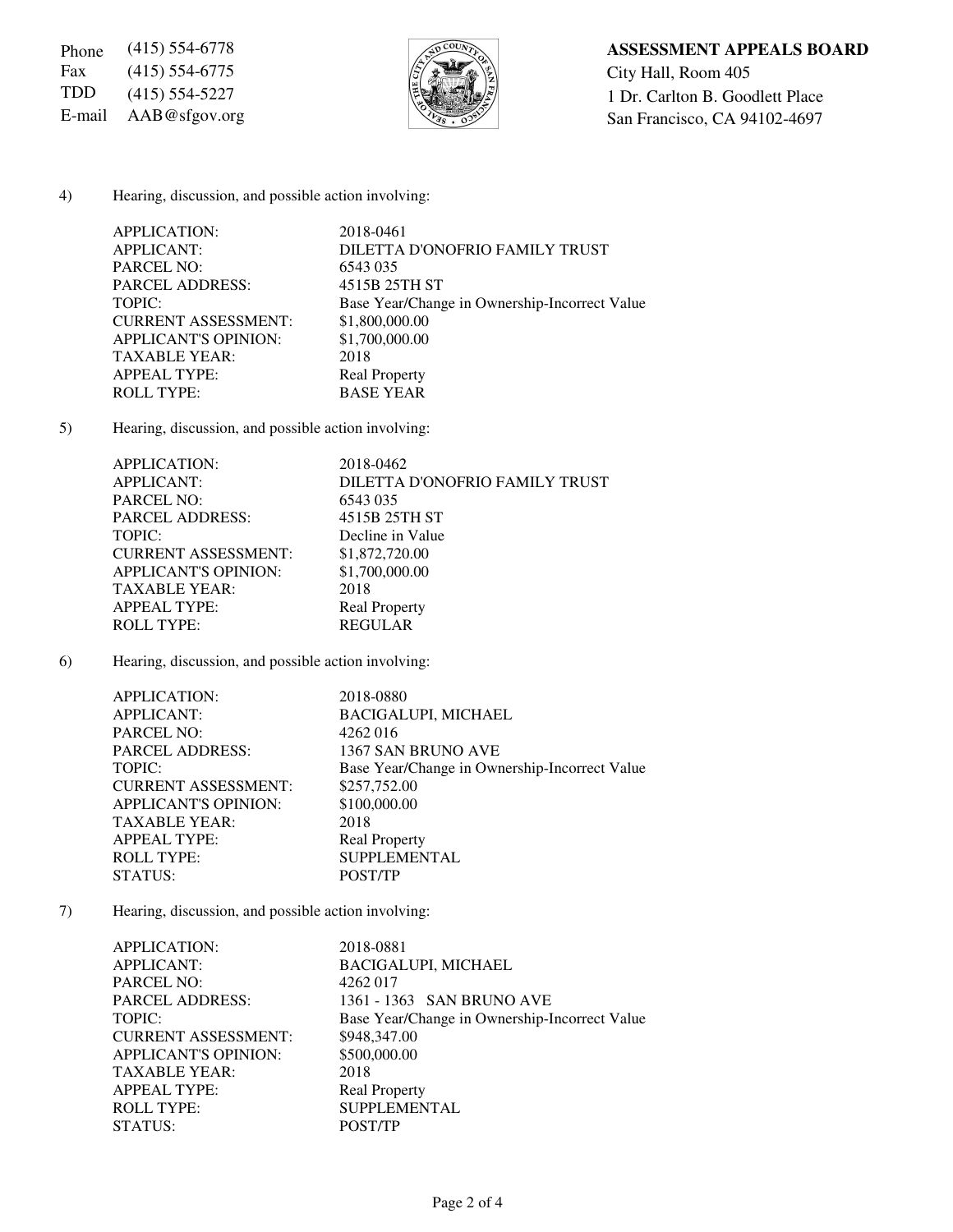Fax (415) 554-6775  $\sqrt{\frac{5}{2}}$  City Hall, Room 405



#### 4) Hearing, discussion, and possible action involving:

| <b>APPLICATION:</b>         | 2018-0461                                     |
|-----------------------------|-----------------------------------------------|
| <b>APPLICANT:</b>           | DILETTA D'ONOFRIO FAMILY TRUST                |
| <b>PARCEL NO:</b>           | 6543 035                                      |
| <b>PARCEL ADDRESS:</b>      | 4515B 25TH ST                                 |
| TOPIC:                      | Base Year/Change in Ownership-Incorrect Value |
| <b>CURRENT ASSESSMENT:</b>  | \$1,800,000.00                                |
| <b>APPLICANT'S OPINION:</b> | \$1,700,000.00                                |
| <b>TAXABLE YEAR:</b>        | 2018                                          |
| <b>APPEAL TYPE:</b>         | <b>Real Property</b>                          |
| <b>ROLL TYPE:</b>           | <b>BASE YEAR</b>                              |

5) Hearing, discussion, and possible action involving:

| APPLICATION:                | 2018-0462                      |
|-----------------------------|--------------------------------|
| <b>APPLICANT:</b>           | DILETTA D'ONOFRIO FAMILY TRUST |
| <b>PARCEL NO:</b>           | 6543 035                       |
| <b>PARCEL ADDRESS:</b>      | 4515B 25TH ST                  |
| TOPIC:                      | Decline in Value               |
| <b>CURRENT ASSESSMENT:</b>  | \$1,872,720.00                 |
| <b>APPLICANT'S OPINION:</b> | \$1,700,000.00                 |
| <b>TAXABLE YEAR:</b>        | 2018                           |
| <b>APPEAL TYPE:</b>         | <b>Real Property</b>           |
| <b>ROLL TYPE:</b>           | <b>REGULAR</b>                 |

6) Hearing, discussion, and possible action involving:

| <b>APPLICATION:</b>         | 2018-0880                                     |
|-----------------------------|-----------------------------------------------|
| <b>APPLICANT:</b>           | <b>BACIGALUPI, MICHAEL</b>                    |
| <b>PARCEL NO:</b>           | 4262016                                       |
| <b>PARCEL ADDRESS:</b>      | 1367 SAN BRUNO AVE                            |
| TOPIC:                      | Base Year/Change in Ownership-Incorrect Value |
| <b>CURRENT ASSESSMENT:</b>  | \$257,752.00                                  |
| <b>APPLICANT'S OPINION:</b> | \$100,000.00                                  |
| <b>TAXABLE YEAR:</b>        | 2018                                          |
| <b>APPEAL TYPE:</b>         | <b>Real Property</b>                          |
| <b>ROLL TYPE:</b>           | <b>SUPPLEMENTAL</b>                           |
| STATUS:                     | POST/TP                                       |
|                             |                                               |

7) Hearing, discussion, and possible action involving:

| APPLICATION:                | 2018-0881            |                                               |
|-----------------------------|----------------------|-----------------------------------------------|
| <b>APPLICANT:</b>           |                      | <b>BACIGALUPI, MICHAEL</b>                    |
| <b>PARCEL NO:</b>           | 4262 017             |                                               |
| <b>PARCEL ADDRESS:</b>      |                      | 1361 - 1363 SAN BRUNO AVE                     |
| TOPIC:                      |                      | Base Year/Change in Ownership-Incorrect Value |
| <b>CURRENT ASSESSMENT:</b>  | \$948,347.00         |                                               |
| <b>APPLICANT'S OPINION:</b> | \$500,000.00         |                                               |
| <b>TAXABLE YEAR:</b>        | 2018                 |                                               |
| <b>APPEAL TYPE:</b>         | <b>Real Property</b> |                                               |
| <b>ROLL TYPE:</b>           |                      | <b>SUPPLEMENTAL</b>                           |
| STATUS:                     | POST/TP              |                                               |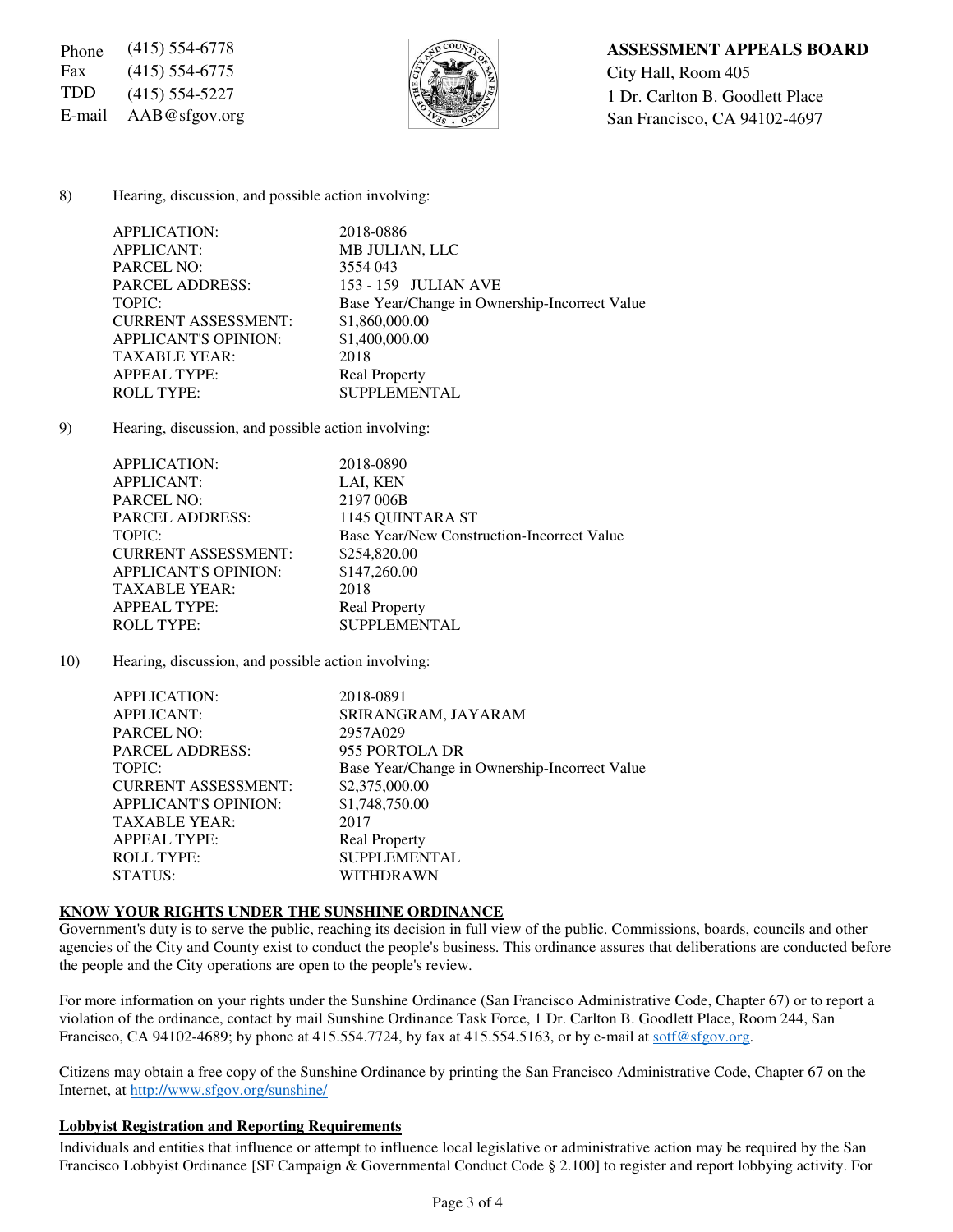Fax (415) 554-6775  $\left|\frac{1}{5}\right|$   $\left|\frac{1}{5}\right|$  City Hall, Room 405



#### 8) Hearing, discussion, and possible action involving:

| <b>APPLICATION:</b>         | 2018-0886                                     |
|-----------------------------|-----------------------------------------------|
| <b>APPLICANT:</b>           | MB JULIAN, LLC                                |
| <b>PARCEL NO:</b>           | 3554 043                                      |
| <b>PARCEL ADDRESS:</b>      | 153 - 159 JULIAN AVE                          |
| TOPIC:                      | Base Year/Change in Ownership-Incorrect Value |
| <b>CURRENT ASSESSMENT:</b>  | \$1,860,000.00                                |
| <b>APPLICANT'S OPINION:</b> | \$1,400,000.00                                |
| <b>TAXABLE YEAR:</b>        | 2018                                          |
| <b>APPEAL TYPE:</b>         | <b>Real Property</b>                          |
| <b>ROLL TYPE:</b>           | <b>SUPPLEMENTAL</b>                           |
|                             |                                               |

9) Hearing, discussion, and possible action involving:

| <b>APPLICATION:</b>         | 2018-0890                                  |
|-----------------------------|--------------------------------------------|
| <b>APPLICANT:</b>           | LAI, KEN                                   |
| <b>PARCEL NO:</b>           | 2197 006B                                  |
| <b>PARCEL ADDRESS:</b>      | 1145 QUINTARA ST                           |
| TOPIC:                      | Base Year/New Construction-Incorrect Value |
| <b>CURRENT ASSESSMENT:</b>  | \$254,820.00                               |
| <b>APPLICANT'S OPINION:</b> | \$147,260.00                               |
| <b>TAXABLE YEAR:</b>        | 2018                                       |
| <b>APPEAL TYPE:</b>         | <b>Real Property</b>                       |
| <b>ROLL TYPE:</b>           | <b>SUPPLEMENTAL</b>                        |
|                             |                                            |

10) Hearing, discussion, and possible action involving:

| APPLICATION:                | 2018-0891                                     |
|-----------------------------|-----------------------------------------------|
| <b>APPLICANT:</b>           | SRIRANGRAM, JAYARAM                           |
| <b>PARCEL NO:</b>           | 2957A029                                      |
| <b>PARCEL ADDRESS:</b>      | 955 PORTOLA DR                                |
| TOPIC:                      | Base Year/Change in Ownership-Incorrect Value |
| <b>CURRENT ASSESSMENT:</b>  | \$2,375,000.00                                |
| <b>APPLICANT'S OPINION:</b> | \$1,748,750.00                                |
| <b>TAXABLE YEAR:</b>        | 2017                                          |
| <b>APPEAL TYPE:</b>         | <b>Real Property</b>                          |
| <b>ROLL TYPE:</b>           | <b>SUPPLEMENTAL</b>                           |
| STATUS:                     | WITHDRAWN                                     |

## **KNOW YOUR RIGHTS UNDER THE SUNSHINE ORDINANCE**

Government's duty is to serve the public, reaching its decision in full view of the public. Commissions, boards, councils and other agencies of the City and County exist to conduct the people's business. This ordinance assures that deliberations are conducted before the people and the City operations are open to the people's review.

For more information on your rights under the Sunshine Ordinance (San Francisco Administrative Code, Chapter 67) or to report a violation of the ordinance, contact by mail Sunshine Ordinance Task Force, 1 Dr. Carlton B. Goodlett Place, Room 244, San Francisco, CA 94102-4689; by phone at 415.554.7724, by fax at 415.554.5163, or by e-mail at soft@sfgov.org.

Citizens may obtain a free copy of the Sunshine Ordinance by printing the San Francisco Administrative Code, Chapter 67 on the Internet, at http://www.sfgov.org/sunshine/

## **Lobbyist Registration and Reporting Requirements**

Individuals and entities that influence or attempt to influence local legislative or administrative action may be required by the San Francisco Lobbyist Ordinance [SF Campaign & Governmental Conduct Code § 2.100] to register and report lobbying activity. For